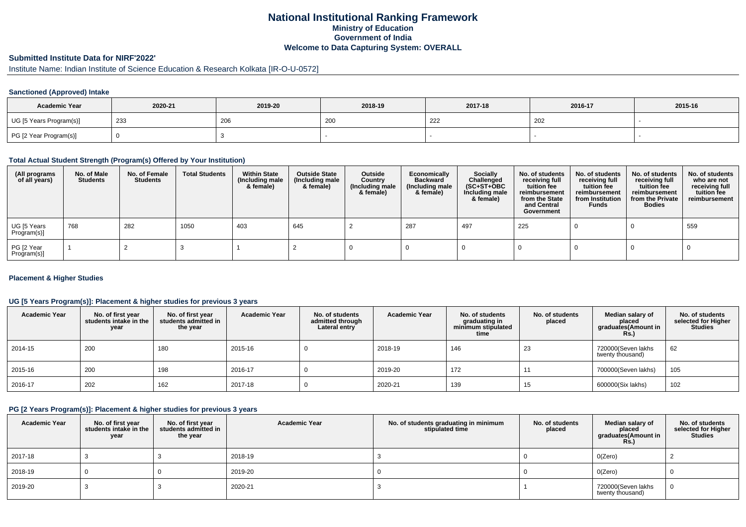# **National Institutional Ranking FrameworkMinistry of Education Government of IndiaWelcome to Data Capturing System: OVERALL**

# **Submitted Institute Data for NIRF'2022'**

# Institute Name: Indian Institute of Science Education & Research Kolkata [IR-O-U-0572]

#### **Sanctioned (Approved) Intake**

| <b>Academic Year</b>    | 2020-21 | 2019-20 | 2018-19               | 2017-18 | 2016-17 | 2015-16 |
|-------------------------|---------|---------|-----------------------|---------|---------|---------|
| UG [5 Years Program(s)] | 233     | 206     | $\Omega$<br><b>ZU</b> | 222     | 202     |         |
| PG [2 Year Program(s)]  |         |         |                       |         |         |         |

#### **Total Actual Student Strength (Program(s) Offered by Your Institution)**

| (All programs<br>of all years) | No. of Male<br><b>Students</b> | No. of Female<br>Students | <b>Total Students</b> | <b>Within State</b><br>(Including male<br>& female) | <b>Outside State</b><br>(Including male<br>& female) | Outside<br>Country<br>(Including male<br>& female) | Economically<br><b>Backward</b><br>(Including male<br>& female) | <b>Socially</b><br>Challenged<br>$(SC+ST+OBC)$<br>Including male<br>& female) | No. of students<br>receiving full<br>tuition fee<br>reimbursement<br>from the State<br>and Central<br>Government | No. of students<br>receiving full<br>tuition fee<br>reimbursement<br>from Institution<br><b>Funds</b> | No. of students<br>receiving full<br>tuition fee<br>reimbursement<br>from the Private<br><b>Bodies</b> | No. of students<br>who are not<br>receiving full<br>tuition fee<br>reimbursement |
|--------------------------------|--------------------------------|---------------------------|-----------------------|-----------------------------------------------------|------------------------------------------------------|----------------------------------------------------|-----------------------------------------------------------------|-------------------------------------------------------------------------------|------------------------------------------------------------------------------------------------------------------|-------------------------------------------------------------------------------------------------------|--------------------------------------------------------------------------------------------------------|----------------------------------------------------------------------------------|
| UG [5 Years<br>Program(s)]     | 768                            | 282                       | 1050                  | 403                                                 | 645                                                  |                                                    | 287                                                             | 497                                                                           | 225                                                                                                              |                                                                                                       |                                                                                                        | 559                                                                              |
| PG [2 Year<br>Program(s)]      |                                |                           |                       |                                                     |                                                      |                                                    |                                                                 |                                                                               |                                                                                                                  |                                                                                                       |                                                                                                        |                                                                                  |

#### **Placement & Higher Studies**

#### **UG [5 Years Program(s)]: Placement & higher studies for previous 3 years**

| <b>Academic Year</b> | No. of first year<br>students intake in the<br>year | No. of first vear<br>students admitted in<br>the year | <b>Academic Year</b> | No. of students<br>admitted through<br>Lateral entry | <b>Academic Year</b> | No. of students<br>graduating in<br>minimum stipulated<br>time | No. of students<br>placed | Median salary of<br>placed<br>graduates(Amount in<br><b>Rs.)</b> | No. of students<br>selected for Higher<br>Studies |
|----------------------|-----------------------------------------------------|-------------------------------------------------------|----------------------|------------------------------------------------------|----------------------|----------------------------------------------------------------|---------------------------|------------------------------------------------------------------|---------------------------------------------------|
| 2014-15              | 200                                                 | 180                                                   | 2015-16              |                                                      | 2018-19              | 146                                                            | 23                        | 720000(Seven lakhs<br>twenty thousand)                           | 62                                                |
| 2015-16              | 200                                                 | 198                                                   | 2016-17              |                                                      | 2019-20              | 172                                                            |                           | 700000(Seven lakhs)                                              | 105                                               |
| 2016-17              | 202                                                 | 162                                                   | 2017-18              |                                                      | 2020-21              | 139                                                            | 15                        | 600000(Six lakhs)                                                | 102                                               |

#### **PG [2 Years Program(s)]: Placement & higher studies for previous 3 years**

| <b>Academic Year</b> | No. of first year<br>students intake in the<br>year | No. of first year<br>students admitted in<br>the year | <b>Academic Year</b> | No. of students graduating in minimum<br>stipulated time | No. of students<br>placed | Median salary of<br>placed<br>graduates(Amount in<br>Rs.) | No. of students<br>selected for Higher<br><b>Studies</b> |
|----------------------|-----------------------------------------------------|-------------------------------------------------------|----------------------|----------------------------------------------------------|---------------------------|-----------------------------------------------------------|----------------------------------------------------------|
| 2017-18              |                                                     |                                                       | 2018-19              |                                                          |                           | O(Zero)                                                   |                                                          |
| 2018-19              |                                                     |                                                       | 2019-20              |                                                          |                           | 0(Zero)                                                   |                                                          |
| 2019-20              |                                                     |                                                       | 2020-21              |                                                          |                           | 720000(Seven lakhs<br>twenty thousand)                    |                                                          |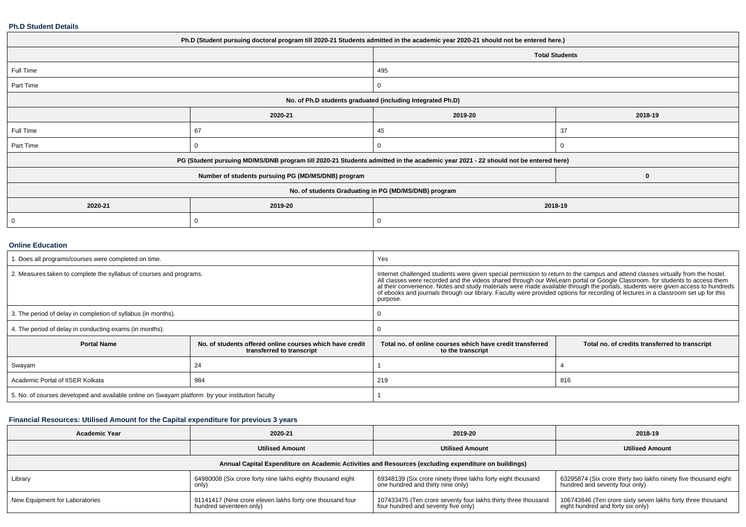#### **Ph.D Student Details**

| Ph.D (Student pursuing doctoral program till 2020-21 Students admitted in the academic year 2020-21 should not be entered here.) |                                                      |                                                                                                                                  |                       |  |  |  |
|----------------------------------------------------------------------------------------------------------------------------------|------------------------------------------------------|----------------------------------------------------------------------------------------------------------------------------------|-----------------------|--|--|--|
|                                                                                                                                  |                                                      |                                                                                                                                  | <b>Total Students</b> |  |  |  |
| Full Time                                                                                                                        |                                                      | 495                                                                                                                              |                       |  |  |  |
| Part Time                                                                                                                        |                                                      |                                                                                                                                  |                       |  |  |  |
| No. of Ph.D students graduated (including Integrated Ph.D)                                                                       |                                                      |                                                                                                                                  |                       |  |  |  |
|                                                                                                                                  | 2020-21                                              | 2019-20                                                                                                                          | 2018-19               |  |  |  |
| Full Time                                                                                                                        | 67                                                   | 45                                                                                                                               | 37                    |  |  |  |
| Part Time                                                                                                                        |                                                      |                                                                                                                                  |                       |  |  |  |
|                                                                                                                                  |                                                      | PG (Student pursuing MD/MS/DNB program till 2020-21 Students admitted in the academic year 2021 - 22 should not be entered here) |                       |  |  |  |
|                                                                                                                                  | Number of students pursuing PG (MD/MS/DNB) program   |                                                                                                                                  | 0                     |  |  |  |
|                                                                                                                                  | No. of students Graduating in PG (MD/MS/DNB) program |                                                                                                                                  |                       |  |  |  |
| 2020-21                                                                                                                          | 2019-20                                              | 2018-19                                                                                                                          |                       |  |  |  |
| 0                                                                                                                                |                                                      |                                                                                                                                  |                       |  |  |  |

#### **Online Education**

| . Does all programs/courses were completed on time.                                             |                                                                                       | Yes                                                                                                                                                                                                                                                                                                                                                                                                                                                                                                                                                  |                                                |  |
|-------------------------------------------------------------------------------------------------|---------------------------------------------------------------------------------------|------------------------------------------------------------------------------------------------------------------------------------------------------------------------------------------------------------------------------------------------------------------------------------------------------------------------------------------------------------------------------------------------------------------------------------------------------------------------------------------------------------------------------------------------------|------------------------------------------------|--|
| 2. Measures taken to complete the syllabus of courses and programs.                             |                                                                                       | Internet challenged students were given special permission to return to the campus and attend classes virtually from the hostel.<br>All classes were recorded and the videos shared through our WeLearn portal or Google Classroom. for students to access them<br>at their convenience. Notes and study materials were made available through the portals, students were given access to hundreds<br>of ebooks and journals through our library. Faculty were provided options for recording of lectures in a classroom set up for this<br>purpose. |                                                |  |
| 3. The period of delay in completion of syllabus (in months).                                   |                                                                                       |                                                                                                                                                                                                                                                                                                                                                                                                                                                                                                                                                      |                                                |  |
| 4. The period of delay in conducting exams (in months).                                         |                                                                                       |                                                                                                                                                                                                                                                                                                                                                                                                                                                                                                                                                      |                                                |  |
| <b>Portal Name</b>                                                                              | No. of students offered online courses which have credit<br>transferred to transcript | Total no, of online courses which have credit transferred<br>to the transcript                                                                                                                                                                                                                                                                                                                                                                                                                                                                       | Total no. of credits transferred to transcript |  |
| Swayam                                                                                          | 24                                                                                    |                                                                                                                                                                                                                                                                                                                                                                                                                                                                                                                                                      |                                                |  |
| Academic Portal of IISER Kolkata                                                                | 984                                                                                   | 219                                                                                                                                                                                                                                                                                                                                                                                                                                                                                                                                                  | 816                                            |  |
| 5. No. of courses developed and available online on Swayam platform by your institution faculty |                                                                                       |                                                                                                                                                                                                                                                                                                                                                                                                                                                                                                                                                      |                                                |  |

## **Financial Resources: Utilised Amount for the Capital expenditure for previous 3 years**

| <b>Academic Year</b>                                                                                 | 2020-21                                                                              | 2019-20                                                                                              | 2018-19                                                                                           |  |  |  |  |
|------------------------------------------------------------------------------------------------------|--------------------------------------------------------------------------------------|------------------------------------------------------------------------------------------------------|---------------------------------------------------------------------------------------------------|--|--|--|--|
|                                                                                                      | <b>Utilised Amount</b>                                                               | <b>Utilised Amount</b>                                                                               | <b>Utilised Amount</b>                                                                            |  |  |  |  |
| Annual Capital Expenditure on Academic Activities and Resources (excluding expenditure on buildings) |                                                                                      |                                                                                                      |                                                                                                   |  |  |  |  |
| Library                                                                                              | 64980008 (Six crore forty nine lakhs eighty thousand eight<br>only)                  | 69348139 (Six crore ninety three lakhs forty eight thousand<br>one hundred and thirty nine only)     | 63295874 (Six crore thirty two lakhs ninety five thousand eight<br>hundred and seventy four only) |  |  |  |  |
| New Equipment for Laboratories                                                                       | 91141417 (Nine crore eleven lakhs forty one thousand four<br>hundred seventeen only) | 107433475 (Ten crore seventy four lakhs thirty three thousand<br>four hundred and seventy five only) | 106743846 (Ten crore sixty seven lakhs forty three thousand<br>eight hundred and forty six only)  |  |  |  |  |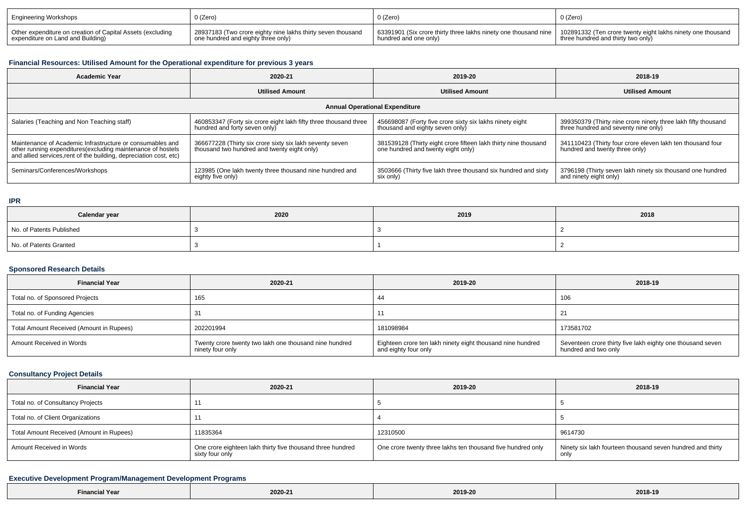| <b>Engineering Workshops</b>                               | 0 (Zero)                                                    | 0 (Zero)                                                                                                                      | 0 (Zero)                          |
|------------------------------------------------------------|-------------------------------------------------------------|-------------------------------------------------------------------------------------------------------------------------------|-----------------------------------|
| Other expenditure on creation of Capital Assets (excluding | 28937183 (Two crore eighty nine lakhs thirty seven thousand | 63391901 (Six crore thirty three lakhs ninety one thousand nine   102891332 (Ten crore twenty eight lakhs ninety one thousand | three hundred and thirty two only |
| expenditure on Land and Building)                          | one hundred and eighty three only)                          | hundred and one only)                                                                                                         |                                   |

## **Financial Resources: Utilised Amount for the Operational expenditure for previous 3 years**

| <b>Academic Year</b>                                                                                                                                                                            | 2020-21                                                                                                 | 2019-20                                                                                               | 2018-19                                                                                               |  |  |  |  |
|-------------------------------------------------------------------------------------------------------------------------------------------------------------------------------------------------|---------------------------------------------------------------------------------------------------------|-------------------------------------------------------------------------------------------------------|-------------------------------------------------------------------------------------------------------|--|--|--|--|
|                                                                                                                                                                                                 | <b>Utilised Amount</b>                                                                                  | <b>Utilised Amount</b>                                                                                | <b>Utilised Amount</b>                                                                                |  |  |  |  |
| <b>Annual Operational Expenditure</b>                                                                                                                                                           |                                                                                                         |                                                                                                       |                                                                                                       |  |  |  |  |
| Salaries (Teaching and Non Teaching staff)                                                                                                                                                      | 460853347 (Forty six crore eight lakh fifty three thousand three<br>hundred and forty seven only)       | 456698087 (Forty five crore sixty six lakhs ninety eight<br>thousand and eighty seven only)           | 399350379 (Thirty nine crore ninety three lakh fifty thousand<br>three hundred and seventy nine only) |  |  |  |  |
| Maintenance of Academic Infrastructure or consumables and<br>other running expenditures (excluding maintenance of hostels<br>and allied services, rent of the building, depreciation cost, etc) | 366677228 (Thirty six crore sixty six lakh seventy seven<br>thousand two hundred and twenty eight only) | 381539128 (Thirty eight crore fifteen lakh thirty nine thousand<br>one hundred and twenty eight only) | 341110423 (Thirty four crore eleven lakh ten thousand four<br>hundred and twenty three only)          |  |  |  |  |
| Seminars/Conferences/Workshops                                                                                                                                                                  | 123985 (One lakh twenty three thousand nine hundred and<br>eighty five only)                            | 3503666 (Thirty five lakh three thousand six hundred and sixty<br>six only)                           | 3796198 (Thirty seven lakh ninety six thousand one hundred<br>and ninety eight only)                  |  |  |  |  |

**IPR**

| Calendar year            | 2020 | 2019 | 2018 |
|--------------------------|------|------|------|
| No. of Patents Published |      |      |      |
| No. of Patents Granted   |      |      |      |

## **Sponsored Research Details**

| <b>Financial Year</b>                    | 2020-21                                                                    | 2019-20                                                                            | 2018-19                                                                            |
|------------------------------------------|----------------------------------------------------------------------------|------------------------------------------------------------------------------------|------------------------------------------------------------------------------------|
| Total no. of Sponsored Projects          | 165                                                                        | 44                                                                                 | 106                                                                                |
| Total no. of Funding Agencies            | 31                                                                         | 11                                                                                 | 21                                                                                 |
| Total Amount Received (Amount in Rupees) | 202201994                                                                  | 181098984                                                                          | 173581702                                                                          |
| Amount Received in Words                 | Twenty crore twenty two lakh one thousand nine hundred<br>ninety four only | Eighteen crore ten lakh ninety eight thousand nine hundred<br>and eighty four only | Seventeen crore thirty five lakh eighty one thousand seven<br>hundred and two only |

## **Consultancy Project Details**

| <b>Financial Year</b>                    | 2020-21                                                                       | 2019-20                                                     | 2018-19                                                            |
|------------------------------------------|-------------------------------------------------------------------------------|-------------------------------------------------------------|--------------------------------------------------------------------|
| Total no. of Consultancy Projects        |                                                                               |                                                             |                                                                    |
| Total no. of Client Organizations        |                                                                               |                                                             |                                                                    |
| Total Amount Received (Amount in Rupees) | 11835364                                                                      | 12310500                                                    | 9614730                                                            |
| Amount Received in Words                 | One crore eighteen lakh thirty five thousand three hundred<br>sixty four only | One crore twenty three lakhs ten thousand five hundred only | Ninety six lakh fourteen thousand seven hundred and thirty<br>only |

## **Executive Development Program/Management Development Programs**

| Financial Year | 2020-21 | 2019-20 | 2018-19 |
|----------------|---------|---------|---------|
|----------------|---------|---------|---------|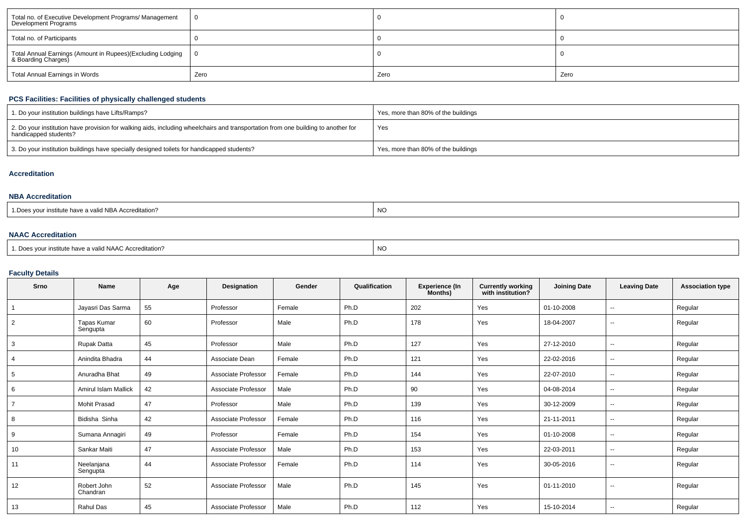| Total no. of Executive Development Programs/ Management<br>Development Programs   |      |      |      |
|-----------------------------------------------------------------------------------|------|------|------|
| Total no. of Participants                                                         |      |      |      |
| Total Annual Earnings (Amount in Rupees)(Excluding Lodging<br>& Boarding Charges) |      |      |      |
| Total Annual Earnings in Words                                                    | Zero | Zero | Zero |

## **PCS Facilities: Facilities of physically challenged students**

| 1. Do your institution buildings have Lifts/Ramps?                                                                                                         | Yes, more than 80% of the buildings |
|------------------------------------------------------------------------------------------------------------------------------------------------------------|-------------------------------------|
| 2. Do your institution have provision for walking aids, including wheelchairs and transportation from one building to another for<br>handicapped students? | Yes                                 |
| 3. Do your institution buildings have specially designed toilets for handicapped students?                                                                 | Yes, more than 80% of the buildings |

#### **Accreditation**

#### **NBA Accreditation**

| $\cdots$<br>valid NBA Accreditation?<br>. Institute nave a l | $\ddot{\phantom{1}}$<br>NC. |
|--------------------------------------------------------------|-----------------------------|
|--------------------------------------------------------------|-----------------------------|

## **NAAC Accreditation**

| 1. Does your institute have a valid NAAC Accreditation? | ' NC |
|---------------------------------------------------------|------|
|---------------------------------------------------------|------|

## **Faculty Details**

| Srno           | Name                    | Age | Designation         | Gender | Qualification | Experience (In<br>Months) | <b>Currently working</b><br>with institution? | <b>Joining Date</b> | <b>Leaving Date</b>      | <b>Association type</b> |
|----------------|-------------------------|-----|---------------------|--------|---------------|---------------------------|-----------------------------------------------|---------------------|--------------------------|-------------------------|
|                | Jayasri Das Sarma       | 55  | Professor           | Female | Ph.D          | 202                       | Yes                                           | 01-10-2008          | $\overline{\phantom{a}}$ | Regular                 |
| $\overline{2}$ | Tapas Kumar<br>Sengupta | 60  | Professor           | Male   | Ph.D          | 178                       | Yes                                           | 18-04-2007          | $\overline{\phantom{a}}$ | Regular                 |
| 3              | Rupak Datta             | 45  | Professor           | Male   | Ph.D          | 127                       | Yes                                           | 27-12-2010          |                          | Regular                 |
| $\overline{4}$ | Anindita Bhadra         | 44  | Associate Dean      | Female | Ph.D          | 121                       | Yes                                           | 22-02-2016          | $\sim$                   | Regular                 |
| 5              | Anuradha Bhat           | 49  | Associate Professor | Female | Ph.D          | 144                       | Yes                                           | 22-07-2010          | $\overline{\phantom{a}}$ | Regular                 |
| 6              | Amirul Islam Mallick    | 42  | Associate Professor | Male   | Ph.D          | 90                        | Yes                                           | 04-08-2014          | $\overline{\phantom{a}}$ | Regular                 |
| $\overline{7}$ | <b>Mohit Prasad</b>     | 47  | Professor           | Male   | Ph.D          | 139                       | Yes                                           | 30-12-2009          | $\overline{\phantom{a}}$ | Regular                 |
| 8              | Bidisha Sinha           | 42  | Associate Professor | Female | Ph.D          | 116                       | Yes                                           | 21-11-2011          | $\overline{\phantom{a}}$ | Regular                 |
| 9              | Sumana Annagiri         | 49  | Professor           | Female | Ph.D          | 154                       | Yes                                           | 01-10-2008          | $\overline{\phantom{a}}$ | Regular                 |
| 10             | Sankar Maiti            | 47  | Associate Professor | Male   | Ph.D          | 153                       | Yes                                           | 22-03-2011          | $\overline{\phantom{a}}$ | Regular                 |
| 11             | Neelanjana<br>Sengupta  | 44  | Associate Professor | Female | Ph.D          | 114                       | Yes                                           | 30-05-2016          | $\overline{\phantom{a}}$ | Regular                 |
| 12             | Robert John<br>Chandran | 52  | Associate Professor | Male   | Ph.D          | 145                       | Yes                                           | 01-11-2010          | $\overline{\phantom{a}}$ | Regular                 |
| 13             | Rahul Das               | 45  | Associate Professor | Male   | Ph.D          | 112                       | Yes                                           | 15-10-2014          | $\overline{\phantom{a}}$ | Regular                 |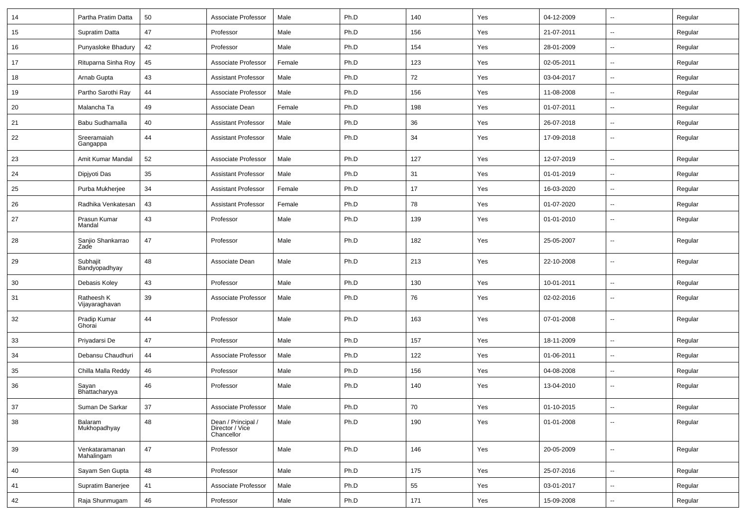| 14 | Partha Pratim Datta          | 50 | Associate Professor                                 | Male   | Ph.D | 140 | Yes | 04-12-2009 | $\sim$                   | Regular |
|----|------------------------------|----|-----------------------------------------------------|--------|------|-----|-----|------------|--------------------------|---------|
| 15 | Supratim Datta               | 47 | Professor                                           | Male   | Ph.D | 156 | Yes | 21-07-2011 | Ξ.                       | Regular |
| 16 | Punyasloke Bhadury           | 42 | Professor                                           | Male   | Ph.D | 154 | Yes | 28-01-2009 | $\overline{\phantom{a}}$ | Regular |
| 17 | Rituparna Sinha Roy          | 45 | Associate Professor                                 | Female | Ph.D | 123 | Yes | 02-05-2011 | $\overline{\phantom{a}}$ | Regular |
| 18 | Arnab Gupta                  | 43 | <b>Assistant Professor</b>                          | Male   | Ph.D | 72  | Yes | 03-04-2017 | $\sim$                   | Regular |
| 19 | Partho Sarothi Ray           | 44 | Associate Professor                                 | Male   | Ph.D | 156 | Yes | 11-08-2008 | $\sim$                   | Regular |
| 20 | Malancha Ta                  | 49 | Associate Dean                                      | Female | Ph.D | 198 | Yes | 01-07-2011 | $\sim$                   | Regular |
| 21 | Babu Sudhamalla              | 40 | <b>Assistant Professor</b>                          | Male   | Ph.D | 36  | Yes | 26-07-2018 | $\sim$                   | Regular |
| 22 | Sreeramaiah<br>Gangappa      | 44 | <b>Assistant Professor</b>                          | Male   | Ph.D | 34  | Yes | 17-09-2018 | $\overline{\phantom{a}}$ | Regular |
| 23 | Amit Kumar Mandal            | 52 | Associate Professor                                 | Male   | Ph.D | 127 | Yes | 12-07-2019 | $\sim$                   | Regular |
| 24 | Dipjyoti Das                 | 35 | <b>Assistant Professor</b>                          | Male   | Ph.D | 31  | Yes | 01-01-2019 | $\sim$                   | Regular |
| 25 | Purba Mukherjee              | 34 | <b>Assistant Professor</b>                          | Female | Ph.D | 17  | Yes | 16-03-2020 | $\sim$                   | Regular |
| 26 | Radhika Venkatesan           | 43 | <b>Assistant Professor</b>                          | Female | Ph.D | 78  | Yes | 01-07-2020 | $\sim$                   | Regular |
| 27 | Prasun Kumar<br>Mandal       | 43 | Professor                                           | Male   | Ph.D | 139 | Yes | 01-01-2010 | $\sim$                   | Regular |
| 28 | Sanjio Shankarrao<br>Zade    | 47 | Professor                                           | Male   | Ph.D | 182 | Yes | 25-05-2007 | $\sim$                   | Regular |
| 29 | Subhajit<br>Bandyopadhyay    | 48 | Associate Dean                                      | Male   | Ph.D | 213 | Yes | 22-10-2008 | $\sim$                   | Regular |
| 30 | Debasis Koley                | 43 | Professor                                           | Male   | Ph.D | 130 | Yes | 10-01-2011 | $\sim$                   | Regular |
| 31 | Ratheesh K<br>Vijayaraghavan | 39 | Associate Professor                                 | Male   | Ph.D | 76  | Yes | 02-02-2016 | $\overline{\phantom{a}}$ | Regular |
| 32 | Pradip Kumar<br>Ghorai       | 44 | Professor                                           | Male   | Ph.D | 163 | Yes | 07-01-2008 | $\overline{\phantom{a}}$ | Regular |
| 33 | Priyadarsi De                | 47 | Professor                                           | Male   | Ph.D | 157 | Yes | 18-11-2009 | Ξ.                       | Regular |
| 34 | Debansu Chaudhuri            | 44 | Associate Professor                                 | Male   | Ph.D | 122 | Yes | 01-06-2011 | $\sim$                   | Regular |
| 35 | Chilla Malla Reddy           | 46 | Professor                                           | Male   | Ph.D | 156 | Yes | 04-08-2008 | $\overline{\phantom{a}}$ | Regular |
| 36 | Sayan<br>Bhattacharyya       | 46 | Professor                                           | Male   | Ph.D | 140 | Yes | 13-04-2010 | $\overline{\phantom{a}}$ | Regular |
| 37 | Suman De Sarkar              | 37 | Associate Professor                                 | Male   | Ph.D | 70  | Yes | 01-10-2015 |                          | Regular |
| 38 | Balaram<br>Mukhopadhyay      | 48 | Dean / Principal /<br>Director / Vice<br>Chancellor | Male   | Ph.D | 190 | Yes | 01-01-2008 | $\sim$                   | Regular |
| 39 | Venkataramanan<br>Mahalingam | 47 | Professor                                           | Male   | Ph.D | 146 | Yes | 20-05-2009 | $\overline{\phantom{a}}$ | Regular |
| 40 | Sayam Sen Gupta              | 48 | Professor                                           | Male   | Ph.D | 175 | Yes | 25-07-2016 | $\bar{\phantom{a}}$      | Regular |
| 41 | Supratim Banerjee            | 41 | Associate Professor                                 | Male   | Ph.D | 55  | Yes | 03-01-2017 | $\sim$                   | Regular |
| 42 | Raja Shunmugam               | 46 | Professor                                           | Male   | Ph.D | 171 | Yes | 15-09-2008 | $\sim$                   | Regular |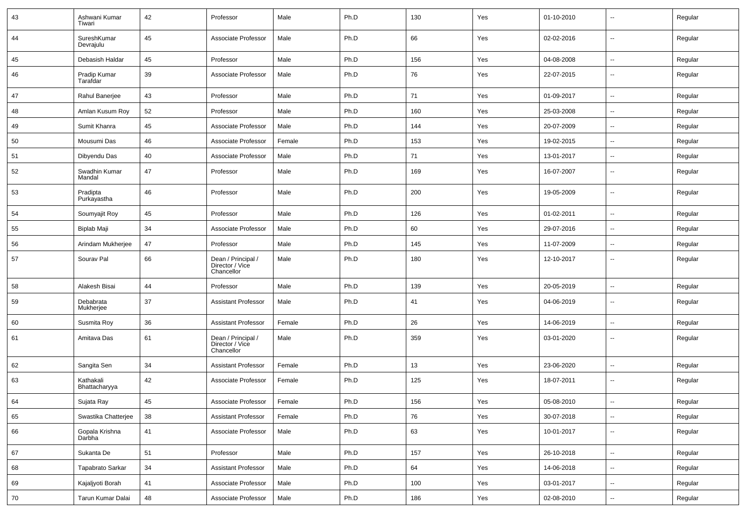| 43     | Ashwani Kumar<br>Tiwari    | 42 | Professor                                           | Male   | Ph.D | 130 | Yes | 01-10-2010 | $\overline{\phantom{a}}$ | Regular |
|--------|----------------------------|----|-----------------------------------------------------|--------|------|-----|-----|------------|--------------------------|---------|
| 44     | SureshKumar<br>Devrajulu   | 45 | Associate Professor                                 | Male   | Ph.D | 66  | Yes | 02-02-2016 | $\overline{\phantom{a}}$ | Regular |
| 45     | Debasish Haldar            | 45 | Professor                                           | Male   | Ph.D | 156 | Yes | 04-08-2008 | $\sim$                   | Regular |
| 46     | Pradip Kumar<br>Tarafdar   | 39 | Associate Professor                                 | Male   | Ph.D | 76  | Yes | 22-07-2015 | Ξ.                       | Regular |
| 47     | Rahul Banerjee             | 43 | Professor                                           | Male   | Ph.D | 71  | Yes | 01-09-2017 | --                       | Regular |
| 48     | Amlan Kusum Roy            | 52 | Professor                                           | Male   | Ph.D | 160 | Yes | 25-03-2008 | $\sim$                   | Regular |
| 49     | Sumit Khanra               | 45 | Associate Professor                                 | Male   | Ph.D | 144 | Yes | 20-07-2009 | $\overline{\phantom{a}}$ | Regular |
| 50     | Mousumi Das                | 46 | Associate Professor                                 | Female | Ph.D | 153 | Yes | 19-02-2015 | $\sim$                   | Regular |
| 51     | Dibyendu Das               | 40 | Associate Professor                                 | Male   | Ph.D | 71  | Yes | 13-01-2017 | $\sim$                   | Regular |
| 52     | Swadhin Kumar<br>Mandal    | 47 | Professor                                           | Male   | Ph.D | 169 | Yes | 16-07-2007 | $\overline{\phantom{a}}$ | Regular |
| 53     | Pradipta<br>Purkayastha    | 46 | Professor                                           | Male   | Ph.D | 200 | Yes | 19-05-2009 | $\overline{\phantom{a}}$ | Regular |
| 54     | Soumyajit Roy              | 45 | Professor                                           | Male   | Ph.D | 126 | Yes | 01-02-2011 | $\overline{\phantom{a}}$ | Regular |
| 55     | Biplab Maji                | 34 | Associate Professor                                 | Male   | Ph.D | 60  | Yes | 29-07-2016 | --                       | Regular |
| 56     | Arindam Mukherjee          | 47 | Professor                                           | Male   | Ph.D | 145 | Yes | 11-07-2009 | Ξ.                       | Regular |
| 57     | Sourav Pal                 | 66 | Dean / Principal /<br>Director / Vice<br>Chancellor | Male   | Ph.D | 180 | Yes | 12-10-2017 | --                       | Regular |
| 58     | Alakesh Bisai              | 44 | Professor                                           | Male   | Ph.D | 139 | Yes | 20-05-2019 | $\overline{a}$           | Regular |
| 59     | Debabrata<br>Mukherjee     | 37 | <b>Assistant Professor</b>                          | Male   | Ph.D | 41  | Yes | 04-06-2019 | $\overline{\phantom{a}}$ | Regular |
| 60     | Susmita Roy                | 36 | <b>Assistant Professor</b>                          | Female | Ph.D | 26  | Yes | 14-06-2019 | $\overline{\phantom{a}}$ | Regular |
| 61     | Amitava Das                | 61 | Dean / Principal /<br>Director / Vice<br>Chancellor | Male   | Ph.D | 359 | Yes | 03-01-2020 | --                       | Regular |
| 62     | Sangita Sen                | 34 | <b>Assistant Professor</b>                          | Female | Ph.D | 13  | Yes | 23-06-2020 | $\overline{\phantom{a}}$ | Regular |
| 63     | Kathakali<br>Bhattacharyya | 42 | Associate Professor                                 | Female | Ph.D | 125 | Yes | 18-07-2011 | --                       | Regular |
| 64     | Sujata Ray                 | 45 | Associate Professor                                 | Female | Ph.D | 156 | Yes | 05-08-2010 | --                       | Regular |
| 65     | Swastika Chatterjee        | 38 | <b>Assistant Professor</b>                          | Female | Ph.D | 76  | Yes | 30-07-2018 | $\overline{\phantom{a}}$ | Regular |
| 66     | Gopala Krishna<br>Darbha   | 41 | Associate Professor                                 | Male   | Ph.D | 63  | Yes | 10-01-2017 | $\sim$                   | Regular |
| 67     | Sukanta De                 | 51 | Professor                                           | Male   | Ph.D | 157 | Yes | 26-10-2018 | $\sim$                   | Regular |
| 68     | Tapabrato Sarkar           | 34 | <b>Assistant Professor</b>                          | Male   | Ph.D | 64  | Yes | 14-06-2018 | $\sim$                   | Regular |
| 69     | Kajaljyoti Borah           | 41 | Associate Professor                                 | Male   | Ph.D | 100 | Yes | 03-01-2017 | u.                       | Regular |
| $70\,$ | Tarun Kumar Dalai          | 48 | Associate Professor                                 | Male   | Ph.D | 186 | Yes | 02-08-2010 | --                       | Regular |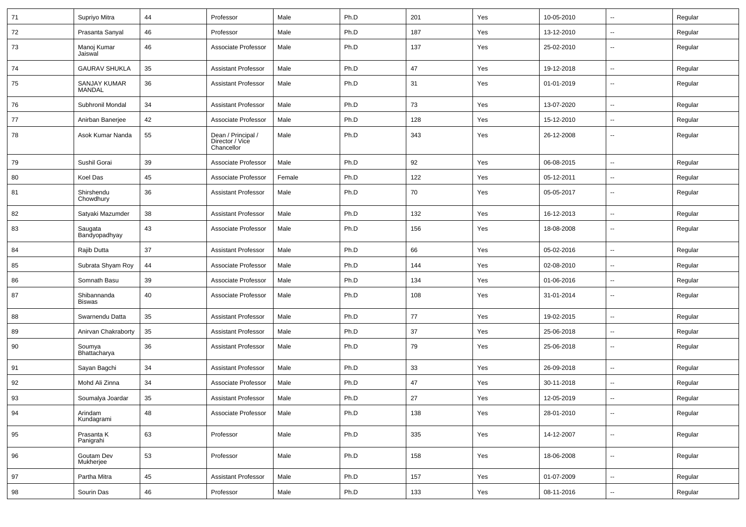| 71 | Supriyo Mitra                 | 44 | Professor                                           | Male   | Ph.D | 201 | Yes | 10-05-2010 | $\overline{\phantom{a}}$ | Regular |
|----|-------------------------------|----|-----------------------------------------------------|--------|------|-----|-----|------------|--------------------------|---------|
| 72 | Prasanta Sanyal               | 46 | Professor                                           | Male   | Ph.D | 187 | Yes | 13-12-2010 | --                       | Regular |
| 73 | Manoj Kumar<br>Jaiswal        | 46 | Associate Professor                                 | Male   | Ph.D | 137 | Yes | 25-02-2010 | $\overline{\phantom{a}}$ | Regular |
| 74 | <b>GAURAV SHUKLA</b>          | 35 | <b>Assistant Professor</b>                          | Male   | Ph.D | 47  | Yes | 19-12-2018 | $\overline{\phantom{a}}$ | Regular |
| 75 | <b>SANJAY KUMAR</b><br>MANDAL | 36 | <b>Assistant Professor</b>                          | Male   | Ph.D | 31  | Yes | 01-01-2019 | --                       | Regular |
| 76 | Subhronil Mondal              | 34 | <b>Assistant Professor</b>                          | Male   | Ph.D | 73  | Yes | 13-07-2020 | $\overline{\phantom{a}}$ | Regular |
| 77 | Anirban Banerjee              | 42 | Associate Professor                                 | Male   | Ph.D | 128 | Yes | 15-12-2010 | $\overline{\phantom{a}}$ | Regular |
| 78 | Asok Kumar Nanda              | 55 | Dean / Principal /<br>Director / Vice<br>Chancellor | Male   | Ph.D | 343 | Yes | 26-12-2008 | $\overline{\phantom{a}}$ | Regular |
| 79 | Sushil Gorai                  | 39 | Associate Professor                                 | Male   | Ph.D | 92  | Yes | 06-08-2015 | ۵.                       | Regular |
| 80 | Koel Das                      | 45 | Associate Professor                                 | Female | Ph.D | 122 | Yes | 05-12-2011 | $\overline{\phantom{a}}$ | Regular |
| 81 | Shirshendu<br>Chowdhury       | 36 | <b>Assistant Professor</b>                          | Male   | Ph.D | 70  | Yes | 05-05-2017 | $\overline{\phantom{a}}$ | Regular |
| 82 | Satyaki Mazumder              | 38 | <b>Assistant Professor</b>                          | Male   | Ph.D | 132 | Yes | 16-12-2013 | ⊷.                       | Regular |
| 83 | Saugata<br>Bandyopadhyay      | 43 | Associate Professor                                 | Male   | Ph.D | 156 | Yes | 18-08-2008 | --                       | Regular |
| 84 | Rajib Dutta                   | 37 | <b>Assistant Professor</b>                          | Male   | Ph.D | 66  | Yes | 05-02-2016 | $\overline{\phantom{a}}$ | Regular |
| 85 | Subrata Shyam Roy             | 44 | Associate Professor                                 | Male   | Ph.D | 144 | Yes | 02-08-2010 | $\overline{\phantom{a}}$ | Regular |
| 86 | Somnath Basu                  | 39 | Associate Professor                                 | Male   | Ph.D | 134 | Yes | 01-06-2016 | $\overline{\phantom{a}}$ | Regular |
| 87 | Shibannanda<br><b>Biswas</b>  | 40 | Associate Professor                                 | Male   | Ph.D | 108 | Yes | 31-01-2014 | --                       | Regular |
| 88 | Swarnendu Datta               | 35 | <b>Assistant Professor</b>                          | Male   | Ph.D | 77  | Yes | 19-02-2015 | --                       | Regular |
| 89 | Anirvan Chakraborty           | 35 | <b>Assistant Professor</b>                          | Male   | Ph.D | 37  | Yes | 25-06-2018 | ⊷.                       | Regular |
| 90 | Soumya<br>Bhattacharya        | 36 | <b>Assistant Professor</b>                          | Male   | Ph.D | 79  | Yes | 25-06-2018 | $\overline{\phantom{a}}$ | Regular |
| 91 | Sayan Bagchi                  | 34 | <b>Assistant Professor</b>                          | Male   | Ph.D | 33  | Yes | 26-09-2018 | $\overline{\phantom{a}}$ | Regular |
| 92 | Mohd Ali Zinna                | 34 | Associate Professor                                 | Male   | Ph.D | 47  | Yes | 30-11-2018 | $\overline{\phantom{a}}$ | Regular |
| 93 | Soumalya Joardar              | 35 | <b>Assistant Professor</b>                          | Male   | Ph.D | 27  | Yes | 12-05-2019 | --                       | Regular |
| 94 | Arindam<br>Kundagrami         | 48 | Associate Professor                                 | Male   | Ph.D | 138 | Yes | 28-01-2010 | Щ,                       | Regular |
| 95 | Prasanta K<br>Panigrahi       | 63 | Professor                                           | Male   | Ph.D | 335 | Yes | 14-12-2007 | Щ,                       | Regular |
| 96 | Goutam Dev<br>Mukherjee       | 53 | Professor                                           | Male   | Ph.D | 158 | Yes | 18-06-2008 | $\sim$                   | Regular |
| 97 | Partha Mitra                  | 45 | <b>Assistant Professor</b>                          | Male   | Ph.D | 157 | Yes | 01-07-2009 | $\overline{\phantom{a}}$ | Regular |
| 98 | Sourin Das                    | 46 | Professor                                           | Male   | Ph.D | 133 | Yes | 08-11-2016 | $\overline{\phantom{a}}$ | Regular |